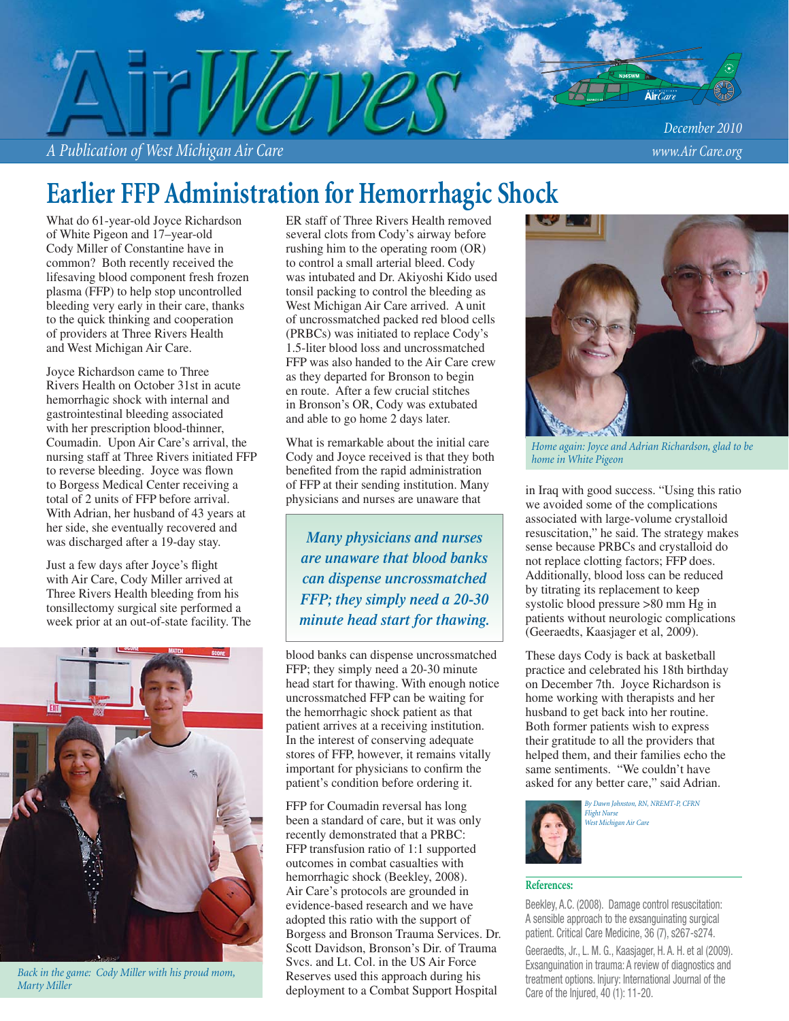*A Publication of West Michigan Air Care www.Air Care.org*

# **Earlier FFP Administration for Hemorrhagic Shock**

What do 61-year-old Joyce Richardson of White Pigeon and 17–year-old Cody Miller of Constantine have in common? Both recently received the lifesaving blood component fresh frozen plasma (FFP) to help stop uncontrolled bleeding very early in their care, thanks to the quick thinking and cooperation of providers at Three Rivers Health and West Michigan Air Care.

Joyce Richardson came to Three Rivers Health on October 31st in acute hemorrhagic shock with internal and gastrointestinal bleeding associated with her prescription blood-thinner, Coumadin. Upon Air Care's arrival, the nursing staff at Three Rivers initiated FFP to reverse bleeding. Joyce was flown to Borgess Medical Center receiving a total of 2 units of FFP before arrival. With Adrian, her husband of 43 years at her side, she eventually recovered and was discharged after a 19-day stay.

Just a few days after Joyce's flight with Air Care, Cody Miller arrived at Three Rivers Health bleeding from his tonsillectomy surgical site performed a week prior at an out-of-state facility. The



*Back in the game: Cody Miller with his proud mom, Marty Miller*

ER staff of Three Rivers Health removed several clots from Cody's airway before rushing him to the operating room (OR) to control a small arterial bleed. Cody was intubated and Dr. Akiyoshi Kido used tonsil packing to control the bleeding as West Michigan Air Care arrived. A unit of uncrossmatched packed red blood cells (PRBCs) was initiated to replace Cody's 1.5-liter blood loss and uncrossmatched FFP was also handed to the Air Care crew as they departed for Bronson to begin en route. After a few crucial stitches in Bronson's OR, Cody was extubated and able to go home 2 days later.

What is remarkable about the initial care Cody and Joyce received is that they both benefited from the rapid administration of FFP at their sending institution. Many physicians and nurses are unaware that

*Many physicians and nurses are unaware that blood banks can dispense uncrossmatched FFP; they simply need a 20-30 minute head start for thawing.*

blood banks can dispense uncrossmatched FFP; they simply need a 20-30 minute head start for thawing. With enough notice uncrossmatched FFP can be waiting for the hemorrhagic shock patient as that patient arrives at a receiving institution. In the interest of conserving adequate stores of FFP, however, it remains vitally important for physicians to confirm the patient's condition before ordering it.

FFP for Coumadin reversal has long been a standard of care, but it was only recently demonstrated that a PRBC: FFP transfusion ratio of 1:1 supported outcomes in combat casualties with hemorrhagic shock (Beekley, 2008). Air Care's protocols are grounded in evidence-based research and we have adopted this ratio with the support of Borgess and Bronson Trauma Services. Dr. Scott Davidson, Bronson's Dir. of Trauma Svcs. and Lt. Col. in the US Air Force Reserves used this approach during his deployment to a Combat Support Hospital



*Home again: Joyce and Adrian Richardson, glad to be home in White Pigeon*

in Iraq with good success. "Using this ratio we avoided some of the complications associated with large-volume crystalloid resuscitation," he said. The strategy makes sense because PRBCs and crystalloid do not replace clotting factors; FFP does. Additionally, blood loss can be reduced by titrating its replacement to keep systolic blood pressure >80 mm Hg in patients without neurologic complications (Geeraedts, Kaasjager et al, 2009).

These days Cody is back at basketball practice and celebrated his 18th birthday on December 7th. Joyce Richardson is home working with therapists and her husband to get back into her routine. Both former patients wish to express their gratitude to all the providers that helped them, and their families echo the same sentiments. "We couldn't have asked for any better care," said Adrian.



*By Dawn Johnston, RN, NREMT-P, CFRN Flight Nurse West Michigan Air Care*

### **References:**

Beekley, A.C. (2008). Damage control resuscitation: A sensible approach to the exsanguinating surgical patient. Critical Care Medicine, 36 (7), s267-s274.

Geeraedts, Jr., L. M. G., Kaasjager, H. A. H. et al (2009). Exsanguination in trauma: A review of diagnostics and treatment options. Injury: International Journal of the Care of the Injured, 40 (1): 11-20.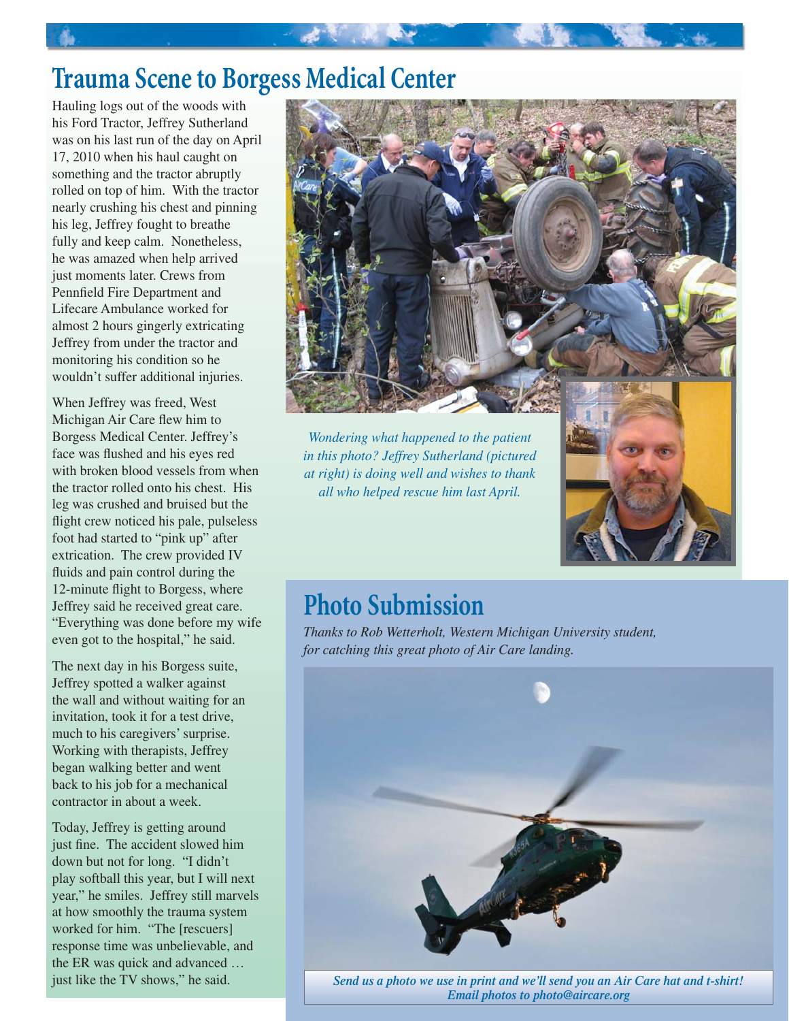# **Trauma Scene to Borgess Medical Center**

Hauling logs out of the woods with his Ford Tractor, Jeffrey Sutherland was on his last run of the day on April 17, 2010 when his haul caught on something and the tractor abruptly rolled on top of him. With the tractor nearly crushing his chest and pinning his leg, Jeffrey fought to breathe fully and keep calm. Nonetheless, he was amazed when help arrived just moments later. Crews from Pennfield Fire Department and Lifecare Ambulance worked for almost 2 hours gingerly extricating Jeffrey from under the tractor and monitoring his condition so he wouldn't suffer additional injuries.

When Jeffrey was freed, West Michigan Air Care flew him to Borgess Medical Center. Jeffrey's face was flushed and his eyes red with broken blood vessels from when the tractor rolled onto his chest. His leg was crushed and bruised but the flight crew noticed his pale, pulseless foot had started to "pink up" after extrication. The crew provided IV fluids and pain control during the 12-minute flight to Borgess, where Jeffrey said he received great care. "Everything was done before my wife even got to the hospital," he said.

The next day in his Borgess suite, Jeffrey spotted a walker against the wall and without waiting for an invitation, took it for a test drive, much to his caregivers' surprise. Working with therapists, Jeffrey began walking better and went back to his job for a mechanical contractor in about a week.

Today, Jeffrey is getting around just fine. The accident slowed him down but not for long. "I didn't play softball this year, but I will next year," he smiles. Jeffrey still marvels at how smoothly the trauma system worked for him. "The [rescuers] response time was unbelievable, and the ER was quick and advanced … just like the TV shows," he said.



*Wondering what happened to the patient in this photo? Jeffrey Sutherland (pictured at right) is doing well and wishes to thank all who helped rescue him last April.*

## **Photo Submission**

*Thanks to Rob Wetterholt, Western Michigan University student, for catching this great photo of Air Care landing.*



*Send us a photo we use in print and we'll send you an Air Care hat and t-shirt! Email photos to photo@aircare.org*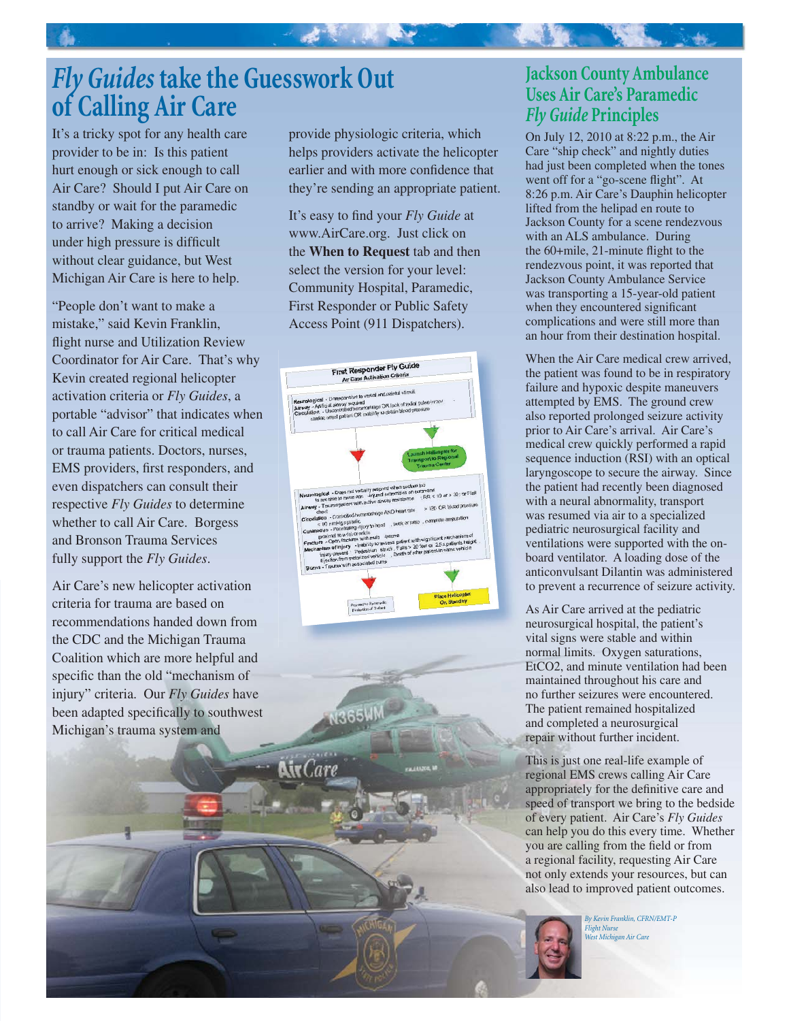# *Fly Guides* **take the Guesswork Out of Calling Air Care**

It's a tricky spot for any health care provider to be in: Is this patient hurt enough or sick enough to call Air Care? Should I put Air Care on standby or wait for the paramedic to arrive? Making a decision under high pressure is difficult without clear guidance, but West Michigan Air Care is here to help.

"People don't want to make a mistake," said Kevin Franklin, flight nurse and Utilization Review Coordinator for Air Care. That's why Kevin created regional helicopter activation criteria or *Fly Guides*, a portable "advisor" that indicates when to call Air Care for critical medical or trauma patients. Doctors, nurses, EMS providers, first responders, and even dispatchers can consult their respective *Fly Guides* to determine whether to call Air Care. Borgess and Bronson Trauma Services fully support the *Fly Guides*.

Air Care's new helicopter activation criteria for trauma are based on recommendations handed down from the CDC and the Michigan Trauma Coalition which are more helpful and specific than the old "mechanism of injury" criteria. Our *Fly Guides* have been adapted specifically to southwest Michigan's trauma system and

provide physiologic criteria, which helps providers activate the helicopter earlier and with more confidence that they're sending an appropriate patient.

一起意, 此事

It's easy to find your *Fly Guide* at www.AirCare.org. Just click on the **When to Request** tab and then select the version for your level: Community Hospital, Paramedic, First Responder or Public Safety Access Point (911 Dispatchers).



**865W** 

**NivCare** 

## **Jackson County Ambulance Uses Air Care's Paramedic**  *Fly Guide* **Principles**

On July 12, 2010 at 8:22 p.m., the Air Care "ship check" and nightly duties had just been completed when the tones went off for a "go-scene flight". At 8:26 p.m. Air Care's Dauphin helicopter lifted from the helipad en route to Jackson County for a scene rendezvous with an ALS ambulance. During the  $60 +$ mile, 21-minute flight to the rendezvous point, it was reported that Jackson County Ambulance Service was transporting a 15-year-old patient when they encountered significant complications and were still more than an hour from their destination hospital.

When the Air Care medical crew arrived, the patient was found to be in respiratory failure and hypoxic despite maneuvers attempted by EMS. The ground crew also reported prolonged seizure activity prior to Air Care's arrival. Air Care's medical crew quickly performed a rapid sequence induction (RSI) with an optical laryngoscope to secure the airway. Since the patient had recently been diagnosed with a neural abnormality, transport was resumed via air to a specialized pediatric neurosurgical facility and ventilations were supported with the onboard ventilator. A loading dose of the anticonvulsant Dilantin was administered to prevent a recurrence of seizure activity.

As Air Care arrived at the pediatric neurosurgical hospital, the patient's vital signs were stable and within normal limits. Oxygen saturations, EtCO2, and minute ventilation had been maintained throughout his care and no further seizures were encountered. The patient remained hospitalized and completed a neurosurgical repair without further incident.

This is just one real-life example of regional EMS crews calling Air Care appropriately for the definitive care and speed of transport we bring to the bedside of every patient. Air Care's *Fly Guides*  can help you do this every time. Whether you are calling from the field or from a regional facility, requesting Air Care not only extends your resources, but can also lead to improved patient outcomes.

> *By Kevin Franklin, CFRN/EMT-P Flight Nurse West Michigan Air Care*